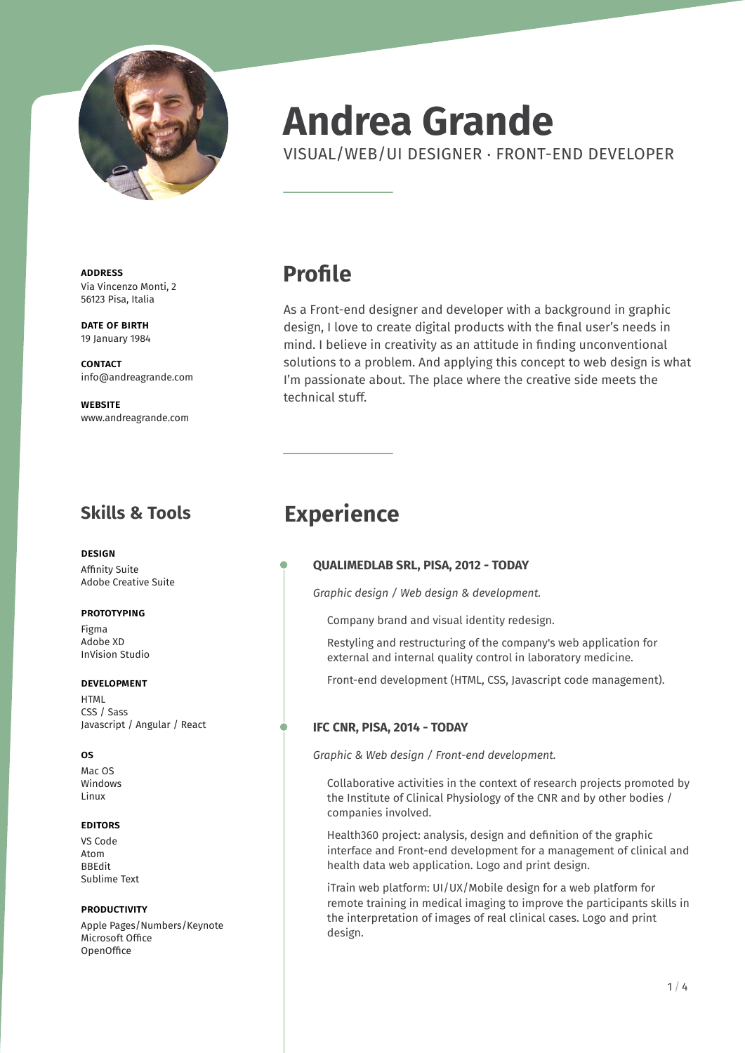

# **Andrea Grande**

VISUAL/WEB/UI DESIGNER . FRONT-END DEVELOPER

address Via Vincenzo Monti, 2 56123 Pisa, Italia

DATE OF BIRTH 19 January 1984

**CONTACT** info@andreagrande.com

**WEBSITE** www.andreagrande.com

### **Skills & Tools**

design Affinity Suite Adobe Creative Suite

### **PROTOTYPING**

Figma Adobe XD InVision Studio

### development

HTML CSS / Sass Javascript / Angular / React

### os

Mac OS Windows Linux

#### **EDITORS**

VS Code Atom BBEdit Sublime Text

#### **PRODUCTIVITY**

Apple Pages/Numbers/Keynote Microsoft Office **OpenOffice** 

### **Profile**

As a Front-end designer and developer with a background in graphic design, I love to create digital products with the final user's needs in mind. I believe in creativity as an attitude in finding unconventional solutions to a problem. And applying this concept to web design is what I'm passionate about. The place where the creative side meets the technical stuff.

### **Experience**

### **QUALIMEDLAB SRL, PISA, 2012 - TODAY**

*Graphic design / Web design & development.*

Company brand and visual identity redesign.

Restyling and restructuring of the company's web application for external and internal quality control in laboratory medicine.

Front-end development (HTML, CSS, Javascript code management).

### **IFC CNR, PISA, 2014 - TODAY**

*Graphic & Web design / Front-end development.*

Collaborative activities in the context of research projects promoted by the Institute of Clinical Physiology of the CNR and by other bodies / companies involved.

Health360 project: analysis, design and definition of the graphic interface and Front-end development for a management of clinical and health data web application. Logo and print design.

iTrain web platform: UI/UX/Mobile design for a web platform for remote training in medical imaging to improve the participants skills in the interpretation of images of real clinical cases. Logo and print design.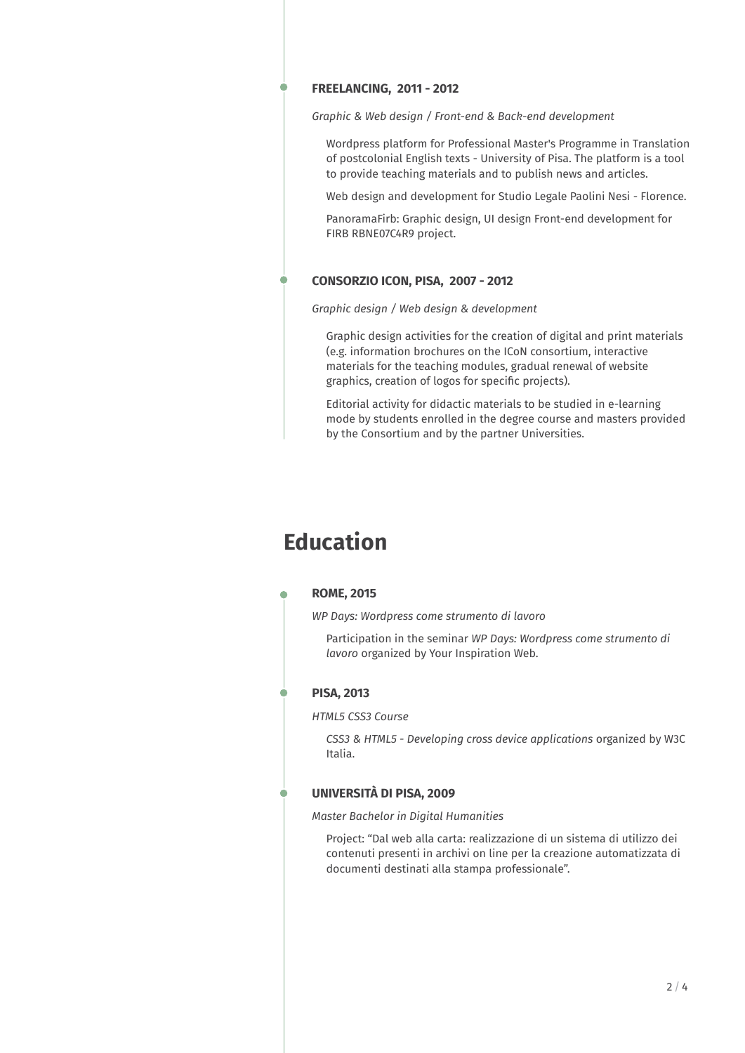### **FREELANCING, 2011 - 2012**

*Graphic & Web design / Front-end & Back-end development*

Wordpress platform for Professional Master's Programme in Translation of postcolonial English texts - University of Pisa. The platform is a tool to provide teaching materials and to publish news and articles.

Web design and development for Studio Legale Paolini Nesi - Florence.

PanoramaFirb: Graphic design, UI design Front-end development for FIRB RBNE07C4R9 project.

### **CONSORZIO ICON, PISA, 2007 - 2012**

### *Graphic design / Web design & development*

Graphic design activities for the creation of digital and print materials (e.g. information brochures on the ICoN consortium, interactive materials for the teaching modules, gradual renewal of website graphics, creation of logos for specific projects).

Editorial activity for didactic materials to be studied in e-learning mode by students enrolled in the degree course and masters provided by the Consortium and by the partner Universities.

### **Education**

#### **ROME, 2015**

*WP Days: Wordpress come strumento di lavoro*

Participation in the seminar *WP Days: Wordpress come strumento di lavoro* organized by Your Inspiration Web.

### **PISA, 2013**

*HTML5 CSS3 Course*

*CSS3 & HTML5 - Developing cross device applications* organized by W3C Italia.

### **UNIVERSITÀ DI PISA, 2009**

*Master Bachelor in Digital Humanities*

Project: "Dal web alla carta: realizzazione di un sistema di utilizzo dei contenuti presenti in archivi on line per la creazione automatizzata di documenti destinati alla stampa professionale".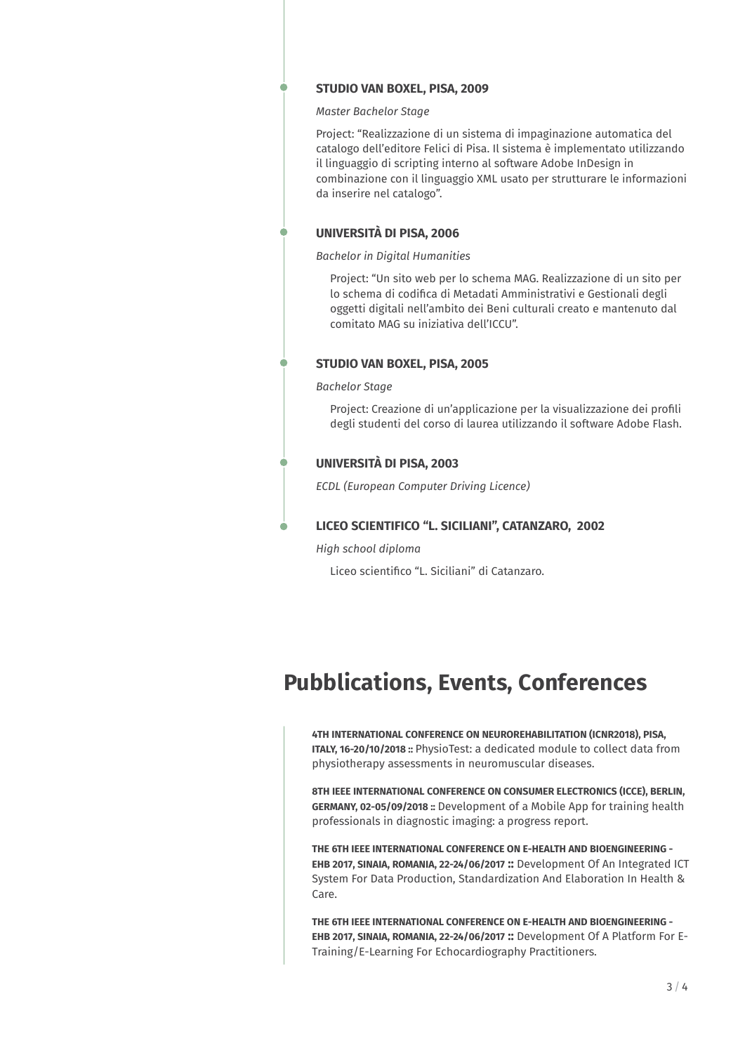### **STUDIO VAN BOXEL, PISA, 2009**

*Master Bachelor Stage*

Project: "Realizzazione di un sistema di impaginazione automatica del catalogo dell'editore Felici di Pisa. Il sistema è implementato utilizzando il linguaggio di scripting interno al software Adobe InDesign in combinazione con il linguaggio XML usato per strutturare le informazioni da inserire nel catalogo".

### **UNIVERSITÀ DI PISA, 2006**

### *Bachelor in Digital Humanities*

Project: "Un sito web per lo schema MAG. Realizzazione di un sito per lo schema di codifica di Metadati Amministrativi e Gestionali degli oggetti digitali nell'ambito dei Beni culturali creato e mantenuto dal comitato MAG su iniziativa dell'ICCU".

### **STUDIO VAN BOXEL, PISA, 2005**

### *Bachelor Stage*

Project: Creazione di un'applicazione per la visualizzazione dei profili degli studenti del corso di laurea utilizzando il software Adobe Flash.

### **UNIVERSITÀ DI PISA, 2003**

*ECDL (European Computer Driving Licence)*

### **LICEO SCIENTIFICO "L. SICILIANI", CATANZARO, 2002**

*High school diploma*

Liceo scientifico "L. Siciliani" di Catanzaro.

## **Pubblications, Events, Conferences**

**4TH INTERNATIONAL CONFERENCE ON NEUROREHABILITATION (ICNR2018), PISA, ITALY, 16-20/10/2018 ::** PhysioTest: a dedicated module to collect data from physiotherapy assessments in neuromuscular diseases.

**8TH IEEE INTERNATIONAL CONFERENCE ON CONSUMER ELECTRONICS (ICCE), BERLIN, GERMANY, 02-05/09/2018 ::** Development of a Mobile App for training health professionals in diagnostic imaging: a progress report.

**THE 6TH IEEE INTERNATIONAL CONFERENCE ON E-HEALTH AND BIOENGINEERING - EHB 2017, SINAIA, ROMANIA, 22-24/06/2017 ::** Development Of An Integrated ICT System For Data Production, Standardization And Elaboration In Health & Care.

**THE 6TH IEEE INTERNATIONAL CONFERENCE ON E-HEALTH AND BIOENGINEERING - EHB 2017, SINAIA, ROMANIA, 22-24/06/2017 ::** Development Of A Platform For E-Training/E-Learning For Echocardiography Practitioners.